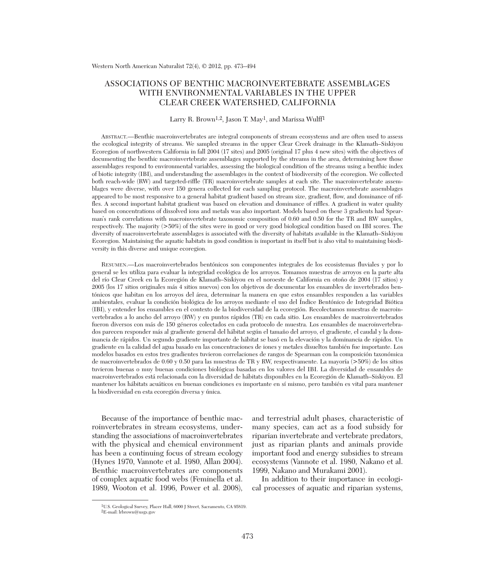## ASSOCIATIONS OF BENTHIC MACROINVERTEBRATE ASSEMBLAGES WITH ENVIRONMENTAL VARIABLES IN THE UPPER CLEAR CREEK WATERSHED, CALIFORNIA

### Larry R. Brown<sup>1,2</sup>, Jason T. May<sup>1</sup>, and Marissa Wulff<sup>1</sup>

ABSTRACT.—Benthic macroinvertebrates are integral components of stream ecosystems and are often used to assess the ecological integrity of streams. We sampled streams in the upper Clear Creek drainage in the Klamath–Siskiyou Ecoregion of northwestern California in fall 2004 (17 sites) and 2005 (original 17 plus 4 new sites) with the objectives of documenting the benthic macroinvertebrate assemblages supported by the streams in the area, determining how those assemblages respond to environmental variables, assessing the biological condition of the streams using a benthic index of biotic integrity (IBI), and understanding the assemblages in the context of biodiversity of the ecoregion. We collected both reach-wide (RW) and targeted-riffle (TR) macroinvertebrate samples at each site. The macroinvertebrate assemblages were diverse, with over 150 genera collected for each sampling protocol. The macroinvertebrate assemblages appeared to be most responsive to a general habitat gradient based on stream size, gradient, flow, and dominance of riffles. A second important habitat gradient was based on elevation and dominance of riffles. A gradient in water quality based on concentrations of dissolved ions and metals was also important. Models based on these 3 gradients had Spearman's rank correlations with macroinvertebrate taxonomic composition of 0.60 and 0.50 for the TR and RW samples, respectively. The majority (>50%) of the sites were in good or very good biological condition based on IBI scores. The diversity of macroinvertebrate assemblages is associated with the diversity of habitats available in the Klamath–Siskiyou Ecoregion. Maintaining the aquatic habitats in good condition is important in itself but is also vital to maintaining biodiversity in this diverse and unique ecoregion.

RESUMEN.—Los macroinvertebrados bentónicos son componentes integrales de los ecosistemas fluviales y por lo general se les utiliza para evaluar la integridad ecológica de los arroyos. Tomamos muestras de arroyos en la parte alta del río Clear Creek en la Ecoregión de Klamath–Siskiyou en el noroeste de California en otoño de 2004 (17 sitios) y 2005 (los 17 sitios originales más 4 sitios nuevos) con los objetivos de documentar los ensambles de invertebrados bentónicos que habitan en los arroyos del área, determinar la manera en que estos ensambles responden a las variables ambientales, evaluar la condición biológica de los arroyos mediante el uso del Índice Bentónico de Integridad Biótica (IBI), y entender los ensambles en el contexto de la biodiversidad de la ecoregión. Recolectamos muestras de macroinvertebrados a lo ancho del arroyo (RW) y en puntos rápidos (TR) en cada sitio. Los ensambles de macroinvertebrados fueron diversos con más de 150 géneros colectados en cada protocolo de muestra. Los ensambles de macroinvertebrados parecen responder más al gradiente general del hábitat según el tamaño del arroyo, el gradiente, el caudal y la dominancia de rápidos. Un segundo gradiente importante de hábitat se basó en la elevación y la dominancia de rápidos. Un gradiente en la calidad del agua basado en las concentraciones de iones y metales disueltos también fue importante. Los modelos basados en estos tres gradientes tuvieron correlaciones de rangos de Spearman con la composición taxonómica de macroinvertebrados de 0.60 y 0.50 para las muestras de TR y RW, respectivamente. La mayoría (>50%) de los sitios tuvieron buenas o muy buenas condiciones biológicas basadas en los valores del IBI. La diversidad de ensambles de macroinvertebrados está relacionada con la diversidad de hábitats disponibles en la Ecoregión de Klamath–Siskiyou. El mantener los hábitats acuáticos en buenas condiciones es importante en sí mismo, pero también es vital para mantener la biodiversidad en esta ecoregión diversa y única.

Because of the importance of benthic mac roinvertebrates in stream ecosystems, understanding the associations of macroinvertebrates with the physical and chemical environment has been a continuing focus of stream ecology (Hynes 1970, Vannote et al. 1980, Allan 2004). Benthic macroinvertebrates are components of complex aquatic food webs (Feminella et al. 1989, Wooton et al. 1996, Power et al. 2008),

and terrestrial adult phases, characteristic of many species, can act as a food subsidy for riparian invertebrate and vertebrate predators, just as riparian plants and animals provide important food and energy subsidies to stream ecosystems (Vannote et al. 1980, Nakano et al. 1999, Nakano and Murakami 2001).

In addition to their importance in ecological processes of aquatic and riparian systems,

<sup>&</sup>lt;sup>1</sup>U.S. Geological Survey, Placer Hall, 6000 J Street, Sacramento, CA 95819.  ${}^{2}E$ -mail: lrbrown@usgs.gov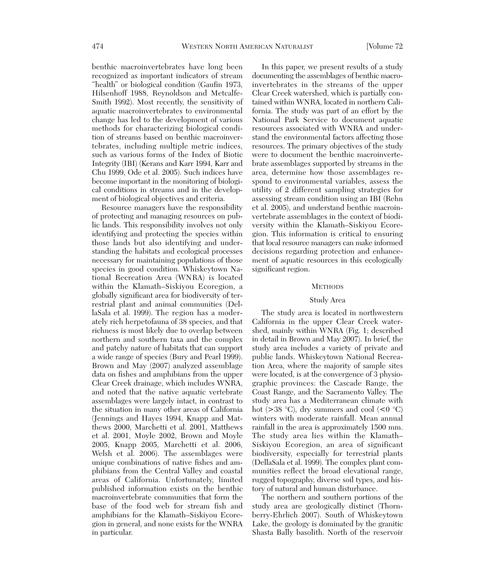benthic macroinvertebrates have long been recognized as important indicators of stream "health" or biological condition (Gaufin 1973, Hilsenhoff 1988, Reynoldson and Metcalfe-Smith 1992). Most recently, the sensitivity of aquatic macroinvertebrates to environmental change has led to the development of various methods for characterizing biological condition of streams based on benthic macroinvertebrates, including multiple metric indices, such as various forms of the Index of Biotic Integrity (IBI) (Kerans and Karr 1994, Karr and Chu 1999, Ode et al. 2005). Such indices have become important in the monitoring of biological conditions in streams and in the development of biological objectives and criteria.

Resource managers have the responsibility of protecting and managing resources on public lands. This responsibility involves not only identifying and protecting the species within those lands but also identifying and understanding the habitats and ecological processes necessary for maintaining populations of those species in good condition. Whiskeytown National Recreation Area (WNRA) is located within the Klamath–Siskiyou Ecoregion, a globally significant area for biodiversity of terrestrial plant and animal communities (DellaSala et al. 1999). The region has a moderately rich herpetofauna of 38 species, and that richness is most likely due to overlap between northern and southern taxa and the complex and patchy nature of habitats that can support a wide range of species (Bury and Pearl 1999). Brown and May (2007) analyzed assemblage data on fishes and amphibians from the upper Clear Creek drainage, which includes WNRA, and noted that the native aquatic vertebrate assemblages were largely intact, in contrast to the situation in many other areas of California (Jennings and Hayes 1994, Knapp and Matthews 2000, Marchetti et al. 2001, Matthews et al. 2001, Moyle 2002, Brown and Moyle 2005, Knapp 2005, Marchetti et al. 2006, Welsh et al. 2006). The assemblages were unique combinations of native fishes and amphibians from the Central Valley and coastal areas of California. Unfortunately, limited published information exists on the benthic macroinvertebrate communities that form the base of the food web for stream fish and amphibians for the Klamath–Siskiyou Ecoregion in general, and none exists for the WNRA in particular.

In this paper, we present results of a study documenting the assemblages of benthic macroinvertebrates in the streams of the upper Clear Creek watershed, which is partially contained within WNRA, located in northern California. The study was part of an effort by the National Park Service to document aquatic resources associated with WNRA and understand the environmental factors affecting those resources. The primary objectives of the study were to document the benthic macroinvertebrate assemblages supported by streams in the area, determine how those assemblages re spond to environmental variables, assess the utility of 2 different sampling strategies for assessing stream condition using an IBI (Rehn et al. 2005), and understand benthic macroinvertebrate assemblages in the context of biodiversity within the Klamath–Siskiyou Ecoregion. This information is critical to ensuring that local resource managers can make informed decisions regarding protection and enhancement of aquatic resources in this ecologically significant region.

#### **METHODS**

### Study Area

The study area is located in northwestern California in the upper Clear Creek watershed, mainly within WNRA (Fig. 1; described in detail in Brown and May 2007). In brief, the study area includes a variety of private and public lands. Whiskeytown National Recreation Area, where the majority of sample sites were located, is at the convergence of 3 physiographic provinces: the Cascade Range, the Coast Range, and the Sacramento Valley. The study area has a Mediterranean climate with hot (>38 °C), dry summers and cool (<0 °C) winters with moderate rainfall. Mean annual rainfall in the area is approximately 1500 mm. The study area lies within the Klamath– Siskiyou Ecoregion, an area of significant biodiversity, especially for terrestrial plants (DellaSala et al. 1999). The complex plant communities reflect the broad elevational range, rugged topography, diverse soil types, and history of natural and human disturbance.

The northern and southern portions of the study area are geologically distinct (Thornberry-Ehrlich 2007). South of Whiskeytown Lake, the geology is dominated by the granitic Shasta Bally basolith. North of the reservoir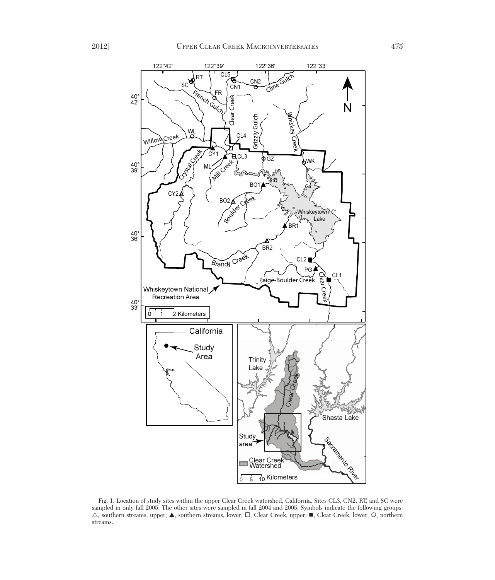

Fig. 1. Location of study sites within the upper Clear Creek watershed, California. Sites CL3, CN2, RT, and SC were sampled in only fall 2005. The other sites were sampled in fall 2004 and 2005. Symbols indicate the following groups:  $\triangle$ , southern streams, upper;  $\blacktriangle$ , southern streams, lower;  $\square$ , Clear Creek, upper;  $\blacksquare$ , Clear Creek, lower; O, northern streams.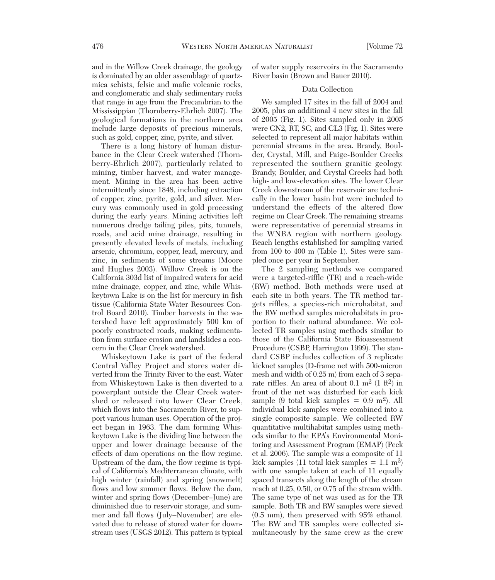and in the Willow Creek drainage, the geology is dominated by an older assemblage of quartzmica schists, felsic and mafic volcanic rocks, and conglomeratic and shaly sedimentary rocks that range in age from the Precambrian to the Mississippian (Thornberry-Ehrlich 2007). The geological formations in the northern area include large deposits of precious minerals, such as gold, copper, zinc, pyrite, and silver.

There is a long history of human disturbance in the Clear Creek watershed (Thornberry-Ehrlich 2007), particularly related to mining, timber harvest, and water management. Mining in the area has been active intermittently since 1848, including extraction of copper, zinc, pyrite, gold, and silver. Mercury was commonly used in gold processing during the early years. Mining activities left numerous dredge tailing piles, pits, tunnels, roads, and acid mine drainage, resulting in presently elevated levels of metals, including arsenic, chromium, copper, lead, mercury, and zinc, in sediments of some streams (Moore and Hughes 2003). Willow Creek is on the California 303d list of impaired waters for acid mine drainage, copper, and zinc, while Whiskeytown Lake is on the list for mercury in fish tissue (California State Water Resources Control Board 2010). Timber harvests in the watershed have left approximately 500 km of poorly constructed roads, making sedimentation from surface erosion and landslides a concern in the Clear Creek watershed.

Whiskeytown Lake is part of the federal Central Valley Project and stores water diverted from the Trinity River to the east. Water from Whiskeytown Lake is then diverted to a powerplant outside the Clear Creek watershed or released into lower Clear Creek, which flows into the Sacramento River, to support various human uses. Operation of the project began in 1963. The dam forming Whiskeytown Lake is the dividing line between the upper and lower drainage because of the effects of dam operations on the flow regime. Upstream of the dam, the flow regime is typical of California's Mediterranean climate, with high winter (rainfall) and spring (snowmelt) flows and low summer flows. Below the dam, winter and spring flows (December–June) are diminished due to reservoir storage, and summer and fall flows (July–November) are elevated due to release of stored water for downstream uses (USGS 2012). This pattern is typical of water supply reservoirs in the Sacramento River basin (Brown and Bauer 2010).

## Data Collection

We sampled 17 sites in the fall of 2004 and 2005, plus an additional 4 new sites in the fall of 2005 (Fig. 1). Sites sampled only in 2005 were CN2, RT, SC, and CL3 (Fig. 1). Sites were selected to represent all major habitats within perennial streams in the area. Brandy, Boulder, Crystal, Mill, and Paige-Boulder Creeks represented the southern granitic geology. Brandy, Boulder, and Crystal Creeks had both high- and low-elevation sites. The lower Clear Creek downstream of the reservoir are technically in the lower basin but were included to understand the effects of the altered flow regime on Clear Creek. The remaining streams were representative of perennial streams in the WNRA region with northern geology. Reach lengths established for sampling varied from 100 to 400 m (Table 1). Sites were sampled once per year in September.

The 2 sampling methods we compared were a targeted-riffle (TR) and a reach-wide (RW) method. Both methods were used at each site in both years. The TR method targets riffles, a species-rich microhabitat, and the RW method samples microhabitats in proportion to their natural abundance. We collected TR samples using methods similar to those of the California State Bioassessment Procedure (CSBP, Harrington 1999). The standard CSBP includes collection of 3 replicate kicknet samples (D-frame net with 500-micron mesh and width of 0.25 m) from each of 3 separate riffles. An area of about  $0.1 \text{ m}^2$  (1 ft<sup>2</sup>) in front of the net was disturbed for each kick sample (9 total kick samples =  $0.9 \text{ m}^2$ ). All individual kick samples were combined into a single composite sample. We collected RW quantitative multihabitat samples using methods similar to the EPA's Environmental Monitoring and Assessment Program (EMAP) (Peck et al. 2006). The sample was a composite of 11 kick samples (11 total kick samples  $= 1.1$  m<sup>2</sup>) with one sample taken at each of 11 equally spaced transects along the length of the stream reach at 0.25, 0.50, or 0.75 of the stream width. The same type of net was used as for the TR sample. Both TR and RW samples were sieved (0.5 mm), then preserved with 95% ethanol. The RW and TR samples were collected simultaneously by the same crew as the crew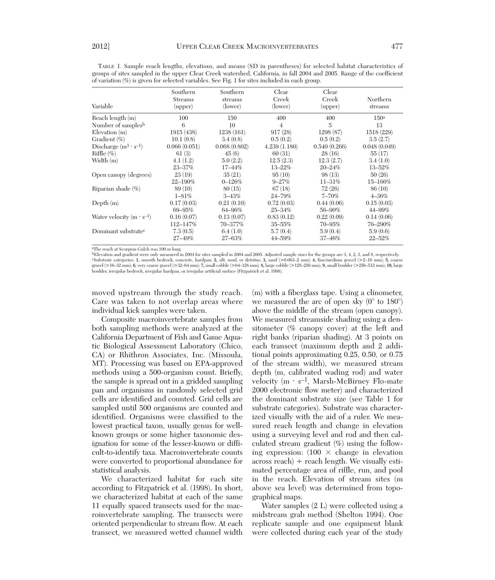| Variable                          | Southern<br><b>Streams</b><br>(upper) | Southern<br>streams<br>(lower) | Clear<br>Creek<br>(lower) | Clear<br>Creek<br>(upper) | Northern<br>streams |
|-----------------------------------|---------------------------------------|--------------------------------|---------------------------|---------------------------|---------------------|
| Reach length (m)                  | 100                                   | 150                            | 400                       | 400                       | 150a                |
| Number of samples <sup>b</sup>    | 6                                     | 10                             | $\overline{4}$            | $\overline{5}$            | 13                  |
| $E$ levation $(m)$                | 1915 (438)                            | 1238(161)                      | 917(28)                   | 1298 (87)                 | 1518 (229)          |
| Gradient $(\%)$                   | 10.1(0.8)                             | 3.4(0.8)                       | 0.5(0.2)                  | 0.5(0.2)                  | 3.5(2.7)            |
| Discharge $(m^3 \cdot s^{-1})$    | 0.066(0.051)                          | 0.068(0.802)                   | 4.239(1.180)              | 0.540(0.266)              | 0.048(0.049)        |
| Riffle $(\% )$                    | 61(3)                                 | 45(6)                          | 60(31)                    | 28(16)                    | 55(17)              |
| Width (m)                         | 4.1(1.2)                              | 5.0(2.2)                       | 12.5(2.3)                 | 12.3(2.7)                 | 3.4(1.0)            |
|                                   | $23 - 37\%$                           | 17-44%                         | $13 - 22%$                | $20 - 24%$                | $13 - 52%$          |
| Open canopy (degrees)             | 23(19)                                | 35(21)                         | 95(10)                    | 98(13)                    | 50(26)              |
|                                   | 22-190%                               | $0 - 126%$                     | $9 - 27%$                 | $11 - 31\%$               | $15 - 166\%$        |
| Riparian shade $(\%)$             | 89 (10)                               | 80(15)                         | 67(18)                    | 72(26)                    | 86 (10)             |
|                                   | $1 - 81\%$                            | $3 - 43%$                      | 24-79%                    | $7 - 70%$                 | $4 - 36\%$          |
| Depth $(m)$                       | 0.17(0.03)                            | 0.21(0.10)                     | 0.72(0.03)                | 0.44(0.06)                | 0.15(0.03)          |
|                                   | $69 - 95%$                            | 64-96%                         | 25-34%                    | 56-90%                    | 44-99%              |
| Water velocity $(m \cdot s^{-1})$ | 0.16(0.07)                            | 0.13(0.07)                     | 0.83(0.12)                | 0.22(0.09)                | 0.14(0.06)          |
|                                   | $112 - 147%$                          | 70-377%                        | $35 - 55%$                | 70-95%                    | 76-290%             |
| Dominant substrate <sup>c</sup>   | 7.3(0.5)                              | 6.4(1.0)                       | 5.7(0.4)                  | 5.9(0.4)                  | 5.9(0.6)            |
|                                   | 27-49%                                | 27-63%                         | 44-59%                    | $37 - 46%$                | $22 - 52%$          |

TABLE 1. Sample reach lengths, elevations, and means (SD in parentheses) for selected habitat characteristics of groups of sites sampled in the upper Clear Creek watershed, California, in fall 2004 and 2005. Range of the coefficient of variation (%) is given for selected variables. See Fig. 1 for sites included in each group.

aThe reach at Scorpion Gulch was 100 m long.

bElevation and gradient were only measured in 2004 for sites sampled in 2004 and 2005. Adjusted sample sizes for the groups are 3, 4, 2, 3, and 8, respectively. "Substrate categories: 1, smooth bedrock, concrete, hardpan; 2, silt, mud, or detritus; 3, sand (>0.063–2 mm); 4, fine/medium gravel (>2–16 mm); 5, coarse<br>gravel (>16–32 mm); 6, very coarse gravel (>32–64 mm); 7, small cob boulder, irregular bedrock, irregular hardpan, or irregular artificial surface (Fitzpatrick et al. 1998).

moved upstream through the study reach. Care was taken to not overlap areas where individual kick samples were taken.

Composite macroinvertebrate samples from both sampling methods were analyzed at the California Department of Fish and Game Aquatic Biological Assessment Laboratory (Chico, CA) or Rhithron Associates, Inc. (Missoula, MT). Processing was based on EPA-approved methods using a 500-organism count. Briefly, the sample is spread out in a gridded sampling pan and organisms in randomly selected grid cells are identified and counted. Grid cells are sampled until 500 organisms are counted and identified. Organisms were classified to the lowest practical taxon, usually genus for wellknown groups or some higher taxonomic designation for some of the lesser-known or difficult-to-identify taxa. Macroinvertebrate counts were converted to proportional abundance for statistical analysis.

We characterized habitat for each site according to Fitzpatrick et al. (1998). In short, we characterized habitat at each of the same 11 equally spaced transects used for the macroinvertebrate sampling. The transects were oriented perpendicular to stream flow. At each transect, we measured wetted channel width

(m) with a fiberglass tape. Using a clinometer, we measured the arc of open sky  $(0^{\circ}$  to  $180^{\circ})$ above the middle of the stream (open canopy). We measured streamside shading using a densitometer (% canopy cover) at the left and right banks (riparian shading). At 3 points on each transect (maximum depth and 2 additional points approximating 0.25, 0.50, or 0.75 of the stream width), we measured stream depth (m, calibrated wading rod) and water velocity  $(m \cdot s^{-1})$ , Marsh-McBirney Flo-mate 2000 electronic flow meter) and characterized the dominant substrate size (see Table 1 for substrate categories). Substrate was characterized visually with the aid of a ruler. We measured reach length and change in elevation using a surveying level and rod and then calculated stream gradient (%) using the following expression:  $(100 \times \text{change in elevation})$ across reach)  $\div$  reach length. We visually estimated percentage area of riffle, run, and pool in the reach. Elevation of stream sites (m above sea level) was determined from topographical maps.

Water samples (2 L) were collected using a midstream grab method (Shelton 1994). One replicate sample and one equipment blank were collected during each year of the study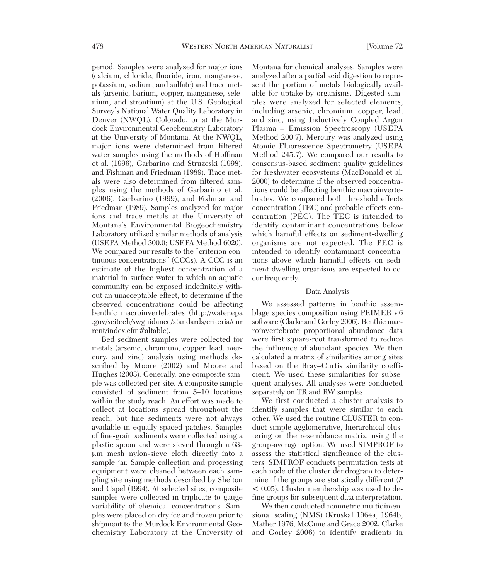period. Samples were analyzed for major ions (calcium, chloride, fluoride, iron, manganese, potassium, sodium, and sulfate) and trace metals (arsenic, barium, copper, manganese, selenium, and strontium) at the U.S. Geological Survey's National Water Quality Laboratory in Denver (NWQL), Colorado, or at the Murdock Environmental Geochemistry Laboratory at the University of Montana. At the NWQL, major ions were determined from filtered water samples using the methods of Hoffman et al. (1996), Garbarino and Struzeski (1998), and Fishman and Friedman (1989). Trace metals were also determined from filtered samples using the methods of Garbarino et al. (2006), Garbarino (1999), and Fishman and Friedman (1989). Samples analyzed for major ions and trace metals at the University of Montana's Environmental Biogeochemistry Laboratory utilized similar methods of analysis (USEPA Method 300.0; USEPA Method 6020). We compared our results to the "criterion continuous concentrations" (CCCs). A CCC is an estimate of the highest concentration of a material in surface water to which an aquatic community can be exposed indefinitely without an unacceptable effect, to determine if the observed concentrations could be affecting benthic macroinvertebrates (http://water.epa .gov/scitech/swguidance/standards/criteria/cur rent/index.cfm#altable).

Bed sediment samples were collected for metals (arsenic, chromium, copper, lead, mercury, and zinc) analysis using methods de scribed by Moore (2002) and Moore and Hughes (2003). Generally, one composite sample was collected per site. A composite sample consisted of sediment from 5–10 locations within the study reach. An effort was made to collect at locations spread throughout the reach, but fine sediments were not always available in equally spaced patches. Samples of fine-grain sediments were collected using a plastic spoon and were sieved through a 63 μm mesh nylon-sieve cloth directly into a sample jar. Sample collection and processing equipment were cleaned between each sampling site using methods described by Shelton and Capel (1994). At selected sites, composite samples were collected in triplicate to gauge variability of chemical concentrations. Samples were placed on dry ice and frozen prior to shipment to the Murdock Environmental Geochemistry Laboratory at the University of

Montana for chemical analyses. Samples were analyzed after a partial acid digestion to represent the portion of metals biologically available for uptake by organisms. Digested samples were analyzed for selected elements, including arsenic, chromium, copper, lead, and zinc, using Inductively Coupled Argon Plasma – Emission Spectroscopy (USEPA Method 200.7). Mercury was analyzed using Atomic Fluorescence Spectrometry (USEPA Method 245.7). We compared our results to consensus-based sediment quality guidelines for freshwater ecosystems (MacDonald et al. 2000) to determine if the observed concentrations could be affecting benthic macroinvertebrates. We compared both threshold effects concentration (TEC) and probable effects concentration (PEC). The TEC is intended to identify contaminant concentrations below which harmful effects on sediment-dwelling organisms are not expected. The PEC is intended to identify contaminant concentrations above which harmful effects on sediment-dwelling organisms are expected to occur frequently.

### Data Analysis

We assessed patterns in benthic assemblage species composition using PRIMER v.6 software (Clarke and Gorley 2006). Benthic macroinvertebrate proportional abundance data were first square-root transformed to reduce the influence of abundant species. We then calculated a matrix of similarities among sites based on the Bray–Curtis similarity coefficient. We used these similarities for subsequent analyses. All analyses were conducted separately on TR and RW samples.

We first conducted a cluster analysis to identify samples that were similar to each other. We used the routine CLUSTER to conduct simple agglomerative, hierarchical clustering on the resemblance matrix, using the group-average option. We used SIMPROF to assess the statistical significance of the clusters. SIMPROF conducts permutation tests at each node of the cluster dendrogram to determine if the groups are statistically different (*P*  $\leq$  0.05). Cluster membership was used to define groups for subsequent data interpretation.

We then conducted nonmetric multidimensional scaling (NMS) (Kruskal 1964a, 1964b, Mather 1976, McCune and Grace 2002, Clarke and Gorley 2006) to identify gradients in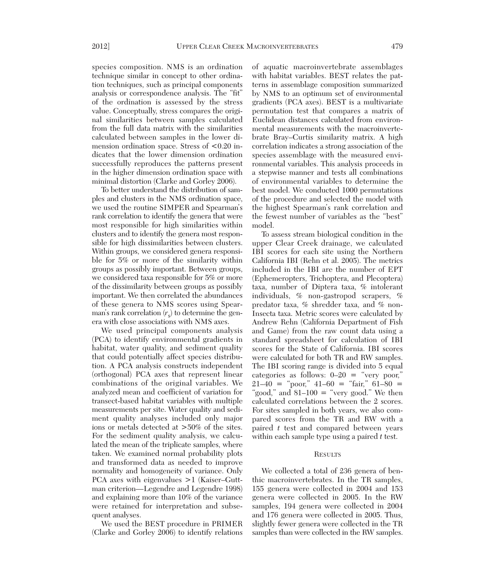species composition. NMS is an ordination technique similar in concept to other ordination techniques, such as principal components analysis or correspondence analysis. The "fit" of the ordination is assessed by the stress value. Conceptually, stress compares the original similarities between samples calculated from the full data matrix with the similarities calculated between samples in the lower dimension ordination space. Stress of  $\leq 0.20$  indicates that the lower dimension ordination successfully reproduces the patterns present in the higher dimension ordination space with minimal distortion (Clarke and Gorley 2006).

To better understand the distribution of samples and clusters in the NMS ordination space, we used the routine SIMPER and Spearman's rank correlation to identify the genera that were most responsible for high similarities within clusters and to identify the genera most responsible for high dissimilarities between clusters. Within groups, we considered genera responsible for 5% or more of the similarity within groups as possibly important. Between groups, we considered taxa responsible for 5% or more of the dissimilarity between groups as possibly important. We then correlated the abundances of these genera to NMS scores using Spearman's rank correlation  $(r<sub>s</sub>)$  to determine the genera with close associations with NMS axes.

We used principal components analysis (PCA) to identify environmental gradients in habitat, water quality, and sediment quality that could potentially affect species distribution. A PCA analysis constructs independent (orthogonal) PCA axes that represent linear combinations of the original variables. We analyzed mean and coefficient of variation for transect-based habitat variables with multiple measurements per site. Water quality and sediment quality analyses included only major ions or metals detected at >50% of the sites. For the sediment quality analysis, we calculated the mean of the triplicate samples, where taken. We examined normal probability plots and transformed data as needed to improve normality and homogeneity of variance. Only PCA axes with eigenvalues  $>1$  (Kaiser–Guttman criterion—Legendre and Legendre 1998) and explaining more than 10% of the variance were retained for interpretation and subsequent analyses.

We used the BEST procedure in PRIMER (Clarke and Gorley 2006) to identify relations

of aquatic macroinvertebrate assemblages with habitat variables. BEST relates the patterns in assemblage composition summarized by NMS to an optimum set of environmental gradients (PCA axes). BEST is a multivariate permutation test that compares a matrix of Euclidean distances calculated from environmental measurements with the macroinvertebrate Bray–Curtis similarity matrix. A high correlation indicates a strong association of the species assemblage with the measured environmental variables. This analysis proceeds in a stepwise manner and tests all combinations of environmental variables to determine the best model. We conducted 1000 permutations of the procedure and selected the model with the highest Spearman's rank correlation and the fewest number of variables as the "best" model.

To assess stream biological condition in the upper Clear Creek drainage, we calculated IBI scores for each site using the Northern California IBI (Rehn et al. 2005). The metrics included in the IBI are the number of EPT (Ephemeropters, Trichoptera, and Plecoptera) taxa, number of Diptera taxa, % intolerant individuals, % non-gastropod scrapers, % predator taxa, % shredder taxa, and % non-Insecta taxa. Metric scores were calculated by Andrew Rehn (California Department of Fish and Game) from the raw count data using a standard spreadsheet for calculation of IBI scores for the State of California. IBI scores were calculated for both TR and RW samples. The IBI scoring range is divided into 5 equal categories as follows:  $0-20 =$  "very poor,"  $21-40 = \text{``poor'' } 41-60 = \text{``fair'' } 61-80 =$ "good," and  $81-100 =$  "very good." We then calculated correlations between the 2 scores. For sites sampled in both years, we also compared scores from the TR and RW with a paired *t* test and compared between years within each sample type using a paired *t* test.

## **RESULTS**

We collected a total of 236 genera of benthic macroinvertebrates. In the TR samples, 155 genera were collected in 2004 and 153 genera were collected in 2005. In the RW samples, 194 genera were collected in 2004 and 176 genera were collected in 2005. Thus, slightly fewer genera were collected in the TR samples than were collected in the RW samples.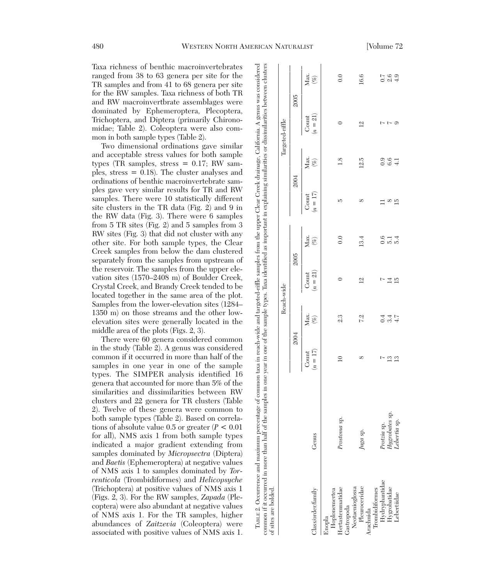Taxa richness of benthic macroinvertebrates ranged from 38 to 63 genera per site for the TR samples and from 41 to 68 genera per site for the RW samples. Taxa richness of both TR and RW macroinvertbrate assemblages were dominated by Ephemeroptera, Plecoptera, Trichoptera, and Diptera (primarily Chironomidae; Table 2). Coleoptera were also common in both sample types (Table 2).

Two dimensional ordinations gave similar and acceptable stress values for both sample types (TR samples, stress  $= 0.17$ ; RW samples, stress = 0.18). The cluster analyses and ordinations of benthic macroinvertebrate samples gave very similar results for TR and RW samples. There were 10 statistically different site clusters in the TR data (Fig. 2) and 9 in the RW data (Fig. 3). There were 6 samples from 5 TR sites (Fig. 2) and 5 samples from 3 RW sites (Fig. 3) that did not cluster with any other site. For both sample types, the Clear Creek samples from below the dam clustered separately from the samples from upstream of the reservoir. The samples from the upper elevation sites (1570–2408 m) of Boulder Creek, Crystal Creek, and Brandy Creek tended to be located together in the same area of the plot. Samples from the lower-elevation sites (1284– 1350 m) on those streams and the other lowelevation sites were generally located in the middle area of the plots (Figs. 2, 3).

There were 60 genera considered common in the study (Table 2). A genus was considered common if it occurred in more than half of the samples in one year in one of the sample types. The SIMPER analysis identified 16 genera that accounted for more than 5% of the similarities and dissimilarities between RW clusters and 22 genera for TR clusters (Table 2). Twelve of these genera were common to both sample types (Table 2). Based on correlations of absolute value 0.5 or greater (*P* < 0.01 for all), NMS axis 1 from both sample types indicated a major gradient extending from samples dominated by *Micropsectra* (Diptera) and *Baetis* (Ephemeroptera) at negative values of NMS axis 1 to samples dominated by *Torrenticola* (Trombidiformes) and *Helicopsyche* (Trichoptera) at positive values of NMS axis 1 (Figs. 2, 3). For the RW samples, *Zapada* (Plecoptera) were also abundant at negative values of NMS axis 1. For the TR samples, higher abundances of *Zaitzevia* (Coleoptera) were associated with positive values of NMS axis 1.

|                                                                 |                                               |                                     |                     | Reach-wide            |                             |                     |                             | Targeted-riffle              |                   |
|-----------------------------------------------------------------|-----------------------------------------------|-------------------------------------|---------------------|-----------------------|-----------------------------|---------------------|-----------------------------|------------------------------|-------------------|
|                                                                 |                                               | 2004                                |                     | 2005                  |                             | 2004                |                             | 2005                         |                   |
| Class/order/family                                              | Genus                                         | $(n=17)$<br>$_{\rm Count}$          | Max.<br>$(\%)$      | $(n = 21)$<br>Count   | Max.<br>$(\%)$              | $(n = 17)$<br>Count | Max.<br>$(\%)$              | $(n = 21)$<br>$_{\rm Count}$ | Max.<br>$(\%)$    |
| Hoplonemertea<br>Enopla                                         |                                               |                                     |                     |                       |                             |                     |                             |                              |                   |
| Hertastemmatidae<br>Gastropoda                                  | Prostoma sp.                                  | $\overline{10}$                     | 2.3                 |                       | 0.0                         | S                   | 1.8                         | 0                            | 0.0               |
| Pleuroceridae<br>Neotaenioglossa<br>Arachnida                   | Juga sp.                                      | ∝                                   | 72                  | $\overline{12}$       | 13.4                        | ∞                   | 12.5                        | $\overline{2}$               | 16.6              |
| Hydryphantidae<br>Hygrobatidae<br>Lebertiidae<br>Trombidiformes | Hygrobates sp.<br>Lebertia sp.<br>Protzia sp. | t<br>$\mathbb{C}$<br>$\mathbf{L}^3$ | $4.7$<br>0.4<br>3.4 | $\overline{14}$<br>15 | 0.6<br>5.4<br>$\frac{1}{2}$ | ∞<br>15             | 0.9<br>6.6<br>$\frac{1}{4}$ | t<br>ာ                       | 2.6<br>0.7<br>4.9 |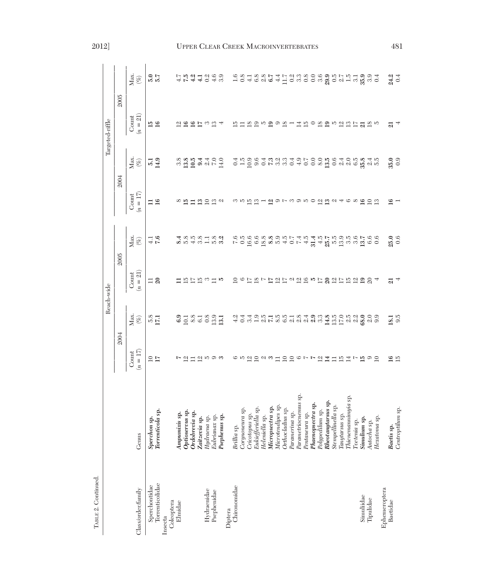|                                  |                                                                                                                                                                                             |                        |                    | Reach-wide              |                                                                                                                           |                                                 |                                       | Targeted-riffle                                                                     |                                                                                                                   |
|----------------------------------|---------------------------------------------------------------------------------------------------------------------------------------------------------------------------------------------|------------------------|--------------------|-------------------------|---------------------------------------------------------------------------------------------------------------------------|-------------------------------------------------|---------------------------------------|-------------------------------------------------------------------------------------|-------------------------------------------------------------------------------------------------------------------|
|                                  |                                                                                                                                                                                             | 2004                   |                    | 2005                    |                                                                                                                           |                                                 | 2004                                  | 2005                                                                                |                                                                                                                   |
| Class/order/family               | Genus                                                                                                                                                                                       | $(n = 17)$<br>Count    | Max.<br>$(\%)$     | $n = 21$<br>Count       | Max.<br>$(\%)$                                                                                                            | $(n = 17)$<br>Count                             | Max.<br>$\overset{\sim}{\mathcal{O}}$ | $(n = 21)$<br>Count                                                                 | Max.<br>$\left(\begin{smallmatrix} \varnothing \cr \varnothing \cr \end{smallmatrix}\right)$                      |
| Torrenticolidae<br>Sperchontidae | Torrenticola sp.<br>Sperchon sp.                                                                                                                                                            | $\frac{5}{10}$         | $\frac{5.8}{2.1}$  | $\frac{1}{2}$           | $\frac{1}{7.6}$                                                                                                           | $\Xi$ $\Xi$                                     | $\frac{5.1}{1.3}$                     | $\frac{15}{16}$                                                                     | $\frac{2}{5.7}$                                                                                                   |
| Coleoptera<br>Insecta            |                                                                                                                                                                                             |                        |                    |                         |                                                                                                                           |                                                 |                                       |                                                                                     |                                                                                                                   |
| Elmidae                          | Ampumixis sp.                                                                                                                                                                               |                        |                    |                         |                                                                                                                           |                                                 |                                       | 의                                                                                   |                                                                                                                   |
|                                  | Optioservus sp.                                                                                                                                                                             |                        |                    |                         |                                                                                                                           |                                                 |                                       | ≌                                                                                   |                                                                                                                   |
|                                  | Ordobrevia sp.                                                                                                                                                                              | 了辺口辺ちの3                | 32878991           | 572                     | $3.85$<br>$4.85$                                                                                                          | ∞ ¤⊐                                            | 39.997790                             | ≌                                                                                   | $\begin{array}{ccc}\n1. & n. & q. 1 & q. & q. \\ 1. & n. & q. 1 & q. & q. \\ 1. & q. & q. & q. & q.\n\end{array}$ |
|                                  | Zaitzevia sp.                                                                                                                                                                               |                        |                    |                         |                                                                                                                           |                                                 |                                       | E                                                                                   |                                                                                                                   |
| Hydraenidae                      | Hydraena sp.                                                                                                                                                                                |                        |                    | က                       |                                                                                                                           |                                                 |                                       | က                                                                                   |                                                                                                                   |
| Psephenidae                      | Eubrianax sp.                                                                                                                                                                               |                        |                    |                         | $31.89$<br>$-1.53$                                                                                                        | 222                                             |                                       | చ                                                                                   |                                                                                                                   |
|                                  | Psephenus sp.                                                                                                                                                                               |                        |                    | J.                      |                                                                                                                           |                                                 |                                       | A                                                                                   |                                                                                                                   |
| Diptera                          |                                                                                                                                                                                             |                        |                    |                         |                                                                                                                           |                                                 |                                       |                                                                                     |                                                                                                                   |
| Chironomidae                     | Brillia sp.                                                                                                                                                                                 |                        |                    | $\overline{10}$         |                                                                                                                           |                                                 |                                       | $\Xi$                                                                               |                                                                                                                   |
|                                  | Corynoneura sp.                                                                                                                                                                             |                        |                    |                         |                                                                                                                           |                                                 |                                       |                                                                                     |                                                                                                                   |
|                                  | Cricotopus sp.                                                                                                                                                                              |                        |                    | 6 辽区了辽辽辽卫边坞专辽的边辽运边的第三   | c i o di e o di a pi pi 4 in 4 in 1 in 6 in 6 in 5 in 6 o<br>c i o di e o di a pi 4 o L 4 in 4 in 1 in 6 in 6 in 5 in 6 o |                                                 |                                       | 12 12 12 12 12 12 12 12 13 14 15 16 17 18 18 19 19 10 11 12 13 14 15 16 17 18 19 10 |                                                                                                                   |
|                                  | Eukiefferiella sp.                                                                                                                                                                          |                        |                    |                         |                                                                                                                           |                                                 |                                       |                                                                                     |                                                                                                                   |
|                                  | Heleniella sp.                                                                                                                                                                              |                        |                    |                         |                                                                                                                           |                                                 |                                       |                                                                                     |                                                                                                                   |
|                                  | Micropsectra sp.                                                                                                                                                                            |                        |                    |                         |                                                                                                                           |                                                 |                                       |                                                                                     |                                                                                                                   |
|                                  | Microtendipes sp.                                                                                                                                                                           |                        |                    |                         |                                                                                                                           |                                                 |                                       |                                                                                     |                                                                                                                   |
|                                  | Orthocladius sp.                                                                                                                                                                            |                        |                    |                         |                                                                                                                           |                                                 |                                       |                                                                                     |                                                                                                                   |
|                                  | Paramerina sp.                                                                                                                                                                              |                        |                    |                         |                                                                                                                           |                                                 |                                       |                                                                                     |                                                                                                                   |
|                                  | Parametriocnemus sp                                                                                                                                                                         |                        |                    |                         |                                                                                                                           |                                                 |                                       |                                                                                     |                                                                                                                   |
|                                  |                                                                                                                                                                                             |                        |                    |                         |                                                                                                                           |                                                 |                                       |                                                                                     |                                                                                                                   |
|                                  | Pentaneura <sub>2)</sub> .<br><b>Phaenopsectra sp.</b><br><sup>Ail</sup> um sp.                                                                                                             |                        |                    |                         |                                                                                                                           |                                                 |                                       |                                                                                     |                                                                                                                   |
|                                  |                                                                                                                                                                                             |                        |                    |                         |                                                                                                                           |                                                 |                                       |                                                                                     |                                                                                                                   |
|                                  | $\begin{minipage}{0.9\linewidth} \textbf{\textit{Rheotany}dairus sp.} \\ \textbf{\textit{Stempelling}} & \textbf{\textit{M}} & \textbf{\textit{S}} & \textbf{\textit{S}} \\ \end{minipage}$ |                        |                    |                         |                                                                                                                           |                                                 |                                       |                                                                                     |                                                                                                                   |
|                                  |                                                                                                                                                                                             |                        |                    |                         |                                                                                                                           |                                                 |                                       |                                                                                     |                                                                                                                   |
|                                  | Tanytarsus sp.                                                                                                                                                                              |                        |                    |                         |                                                                                                                           |                                                 |                                       |                                                                                     |                                                                                                                   |
|                                  | Thienemannimyia sp                                                                                                                                                                          |                        |                    |                         |                                                                                                                           |                                                 |                                       |                                                                                     |                                                                                                                   |
|                                  | Tvetenia sp.                                                                                                                                                                                |                        |                    |                         |                                                                                                                           |                                                 |                                       |                                                                                     |                                                                                                                   |
| Simuliidae                       | Simulium sp.                                                                                                                                                                                |                        |                    |                         |                                                                                                                           | $\circ$ $\circ$ $\circ$ $\circ$ $\circ$ $\circ$ |                                       |                                                                                     |                                                                                                                   |
| Tipulidae                        | Antocha sp.                                                                                                                                                                                 | $\overline{n} \circ 5$ |                    |                         |                                                                                                                           |                                                 |                                       |                                                                                     |                                                                                                                   |
|                                  | Hexatoma sp.                                                                                                                                                                                |                        |                    |                         |                                                                                                                           |                                                 |                                       |                                                                                     |                                                                                                                   |
| Ephemeroptera                    |                                                                                                                                                                                             |                        |                    |                         |                                                                                                                           |                                                 |                                       |                                                                                     |                                                                                                                   |
| Baetidae                         | Baetis sp.                                                                                                                                                                                  | $16 \overline{15}$     | $\frac{18.5}{9.5}$ | $\overline{\mathbf{z}}$ | $\frac{25.0}{0.6}$                                                                                                        | ≌                                               | $35.0$<br>0.9                         | ন্ন                                                                                 | 24.2                                                                                                              |
|                                  | Centroptilum sp.                                                                                                                                                                            |                        |                    |                         |                                                                                                                           |                                                 |                                       |                                                                                     |                                                                                                                   |

TABLE 2. Continued.

 $\rm TAELE$  2. Continued.

# 2012] UPPER CLEAR CREEK MACROINVERTEBRATES 481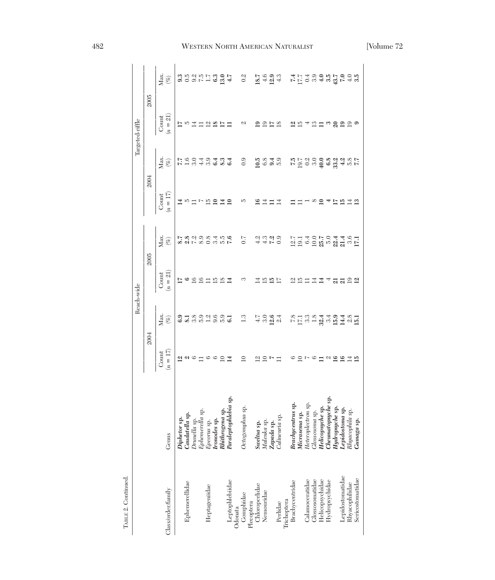|                              |                                                                                   |                     |                                | Reach-wide          |                                                      |                     |                | Targeted-riffle     |                                   |
|------------------------------|-----------------------------------------------------------------------------------|---------------------|--------------------------------|---------------------|------------------------------------------------------|---------------------|----------------|---------------------|-----------------------------------|
|                              |                                                                                   | <b>2004</b>         |                                | 2005                |                                                      | 2004                |                |                     | 2005                              |
| Class/order/family           | Genus                                                                             | $(n = 17)$<br>Count | Max.<br>$(\%)$                 | $(n = 21)$<br>Count | Max.<br>$(\%)$                                       | $(n = 17)$<br>Count | Max.<br>$(\%)$ | $(n = 21)$<br>Count | Max.<br>$(\%)$                    |
|                              | Diphetor sp.                                                                      | ⊴                   |                                | ⋍                   | 5.8                                                  |                     |                | ⋍                   |                                   |
| Ephemerellidae               | Caudatella sp.                                                                    |                     | $rac{3}{8}$                    |                     |                                                      | ro                  | 1.9040423      | JO                  |                                   |
|                              | Drunella sp.                                                                      | ၐ၊ၒ                 |                                | ≌                   | $2.8$<br>7.2                                         |                     |                |                     |                                   |
|                              | Ephemerella sp.                                                                   |                     |                                | S                   | 8.9                                                  |                     |                |                     |                                   |
| Heptageniidae                | Epeorus sp.                                                                       | $\circ$             | 8999991                        |                     | 0.8                                                  | ŗ.                  |                | ⊴                   |                                   |
|                              | Ironodes sp.                                                                      |                     |                                | ⊡                   | 3.4                                                  |                     |                |                     |                                   |
|                              | Rhithrogena sp.                                                                   |                     |                                | ≌                   | čg                                                   |                     |                |                     |                                   |
| Leptophlebiidae              | Paraleptophlebia sp                                                               |                     |                                |                     | 7.6                                                  |                     | 6.4            |                     |                                   |
|                              |                                                                                   |                     |                                |                     |                                                      |                     |                |                     |                                   |
| Odonata<br>Gomphidae         | sp.<br>Octogomphus                                                                | $\supseteq$         | 1.3                            | ొ                   | 0.7                                                  | w                   | 0.9            | C/                  | 0.2                               |
|                              |                                                                                   |                     |                                |                     |                                                      |                     |                |                     |                                   |
| Plecoptera<br>Chloroperlidae | $Sweltsa$ sp.                                                                     | $\overline{\omega}$ |                                | 4                   |                                                      | ≌                   | 10.5           | $\mathbf{e}$        |                                   |
| Nemouridae                   | Malenka sp.                                                                       |                     |                                | <b>12 R</b>         | 21<br>41<br>41<br>7                                  | ヹ                   | 6.8            | 51                  |                                   |
|                              | Zapada sp.                                                                        |                     |                                |                     |                                                      |                     |                | $\overline{a}$      |                                   |
| Perlidae                     | Calineuria sp.                                                                    |                     | 는 <b>응 영</b><br>국 여 <u>여</u> 여 | E                   | 0.9                                                  | ⋣                   | 3.9            | $^{8}$              | $18.7$<br>$4.6$<br>$4.3$<br>$4.3$ |
| Trichoptera                  |                                                                                   |                     |                                |                     |                                                      |                     |                |                     |                                   |
| Brachycentridae              |                                                                                   | $^{\circ}$          |                                | $\frac{2}{10}$      |                                                      |                     |                | 의                   |                                   |
|                              |                                                                                   |                     |                                |                     |                                                      |                     |                | JΩ                  |                                   |
| Calamoceratidae              | <b>Brachyeentrus sp.</b><br>Micrasema sp.<br>Heteroplectron sp.<br>Clossosoma sp. |                     |                                |                     |                                                      |                     |                |                     |                                   |
| Glossosomatidae              |                                                                                   | అ                   |                                | ⊒                   |                                                      | ∞                   |                | ≌                   |                                   |
| Helicopsychidae              | Helicopsyche sp.<br>Cheumatopsyche sp.                                            |                     |                                | ≊                   |                                                      |                     |                | Ξ                   |                                   |
| Hydropsychidae               |                                                                                   |                     |                                |                     |                                                      |                     |                |                     |                                   |
|                              | Hydropsyche sp.                                                                   | $\alpha$ ದ          | 8<br>5 5 6 9 9 9 9 9 9 9 9 0   |                     | ្អ ។ ១ ្អ ១ ។ ។ ១ ។<br>ក្នុង ១ ភ្នំ ២ ភ្នំ ដូ ១ ភ្នំ | ⊵                   |                | $\degree$ 22        | <b>トロ</b> のほとはマルマート アロクライト        |
| Lepidostomatidae             | ${\bf \large \textbf{Lepidostoma}}$                                               | <b>SIR</b>          |                                | 3392                |                                                      | ≌                   |                |                     |                                   |
| Rhyacophilidae               | <b>Lepidostoma sp.</b><br>Rhyacophila sp.                                         |                     |                                |                     |                                                      |                     |                |                     |                                   |
| Sericostomatidae             | Gumaga sp.                                                                        |                     |                                |                     |                                                      |                     | 77             |                     |                                   |
|                              |                                                                                   |                     |                                |                     |                                                      |                     |                |                     |                                   |

TABLE 2. Continued.

TABLE 2. Continued.

# 482 WESTERN NORTH AMERICAN NATURALIST [Volume 72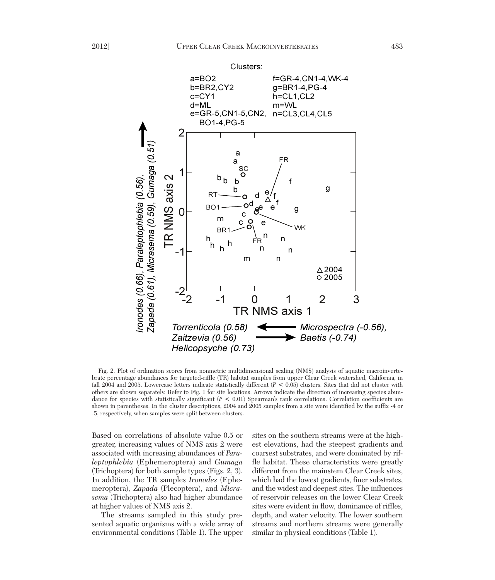

Fig. 2. Plot of ordination scores from nonmetric multidimensional scaling (NMS) analysis of aquatic macroinvertebrate percentage abundances for targeted-riffle (TR) habitat samples from upper Clear Creek watershed, California, in fall 2004 and 2005. Lowercase letters indicate statistically different (*P* < 0.05) clusters. Sites that did not cluster with others are shown separately. Refer to Fig. 1 for site locations. Arrows indicate the direction of increasing species abundance for species with statistically significant (*P* < 0.01) Spearman's rank correlations. Correlation coefficients are shown in parentheses. In the cluster descriptions, 2004 and 2005 samples from a site were identified by the suffix -4 or -5, respectively, when samples were split between clusters.

Based on correlations of absolute value 0.5 or greater, increasing values of NMS axis 2 were associated with increasing abundances of *Paraleptophlebia* (Ephemeroptera) and *Gumaga* (Trichoptera) for both sample types (Figs. 2, 3). In addition, the TR samples *Ironodes* (Ephemeroptera), *Zapada* (Plecoptera), and *Micra sema* (Trichoptera) also had higher abundance at higher values of NMS axis 2.

The streams sampled in this study presented aquatic organisms with a wide array of environmental conditions (Table 1). The upper

sites on the southern streams were at the highest elevations, had the steepest gradients and coarsest substrates, and were dominated by riffle habitat. These characteristics were greatly different from the mainstem Clear Creek sites, which had the lowest gradients, finer substrates, and the widest and deepest sites. The influences of reservoir releases on the lower Clear Creek sites were evident in flow, dominance of riffles, depth, and water velocity. The lower southern streams and northern streams were generally similar in physical conditions (Table 1).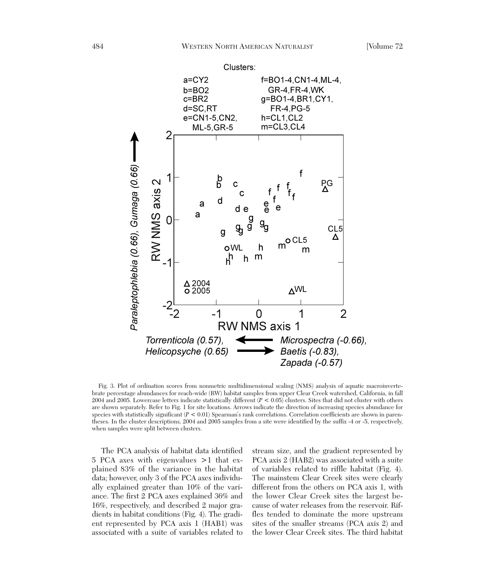

Fig. 3. Plot of ordination scores from nonmetric multidimensional scaling (NMS) analysis of aquatic macroinvertebrate percentage abundances for reach-wide (RW) habitat samples from upper Clear Creek watershed, California, in fall 2004 and 2005. Lowercase letters indicate statistically different (*P* < 0.05) clusters. Sites that did not cluster with others are shown separately. Refer to Fig. 1 for site locations. Arrows indicate the direction of increasing species abundance for species with statistically significant (*P* < 0.01) Spearman's rank correlations. Correlation coefficients are shown in parentheses. In the cluster descriptions, 2004 and 2005 samples from a site were identified by the suffix -4 or -5, respectively, when samples were split between clusters.

The PCA analysis of habitat data identified 5 PCA axes with eigenvalues >1 that ex plained 83% of the variance in the habitat data; however, only 3 of the PCA axes individually explained greater than 10% of the variance. The first 2 PCA axes explained 36% and 16%, respectively, and described 2 major gradients in habitat conditions (Fig. 4). The gradient represented by PCA axis 1 (HAB1) was associated with a suite of variables related to stream size, and the gradient represented by PCA axis 2 (HAB2) was associated with a suite of variables related to riffle habitat (Fig. 4). The mainstem Clear Creek sites were clearly different from the others on PCA axis 1, with the lower Clear Creek sites the largest be cause of water releases from the reservoir. Riffles tended to dominate the more upstream sites of the smaller streams (PCA axis 2) and the lower Clear Creek sites. The third habitat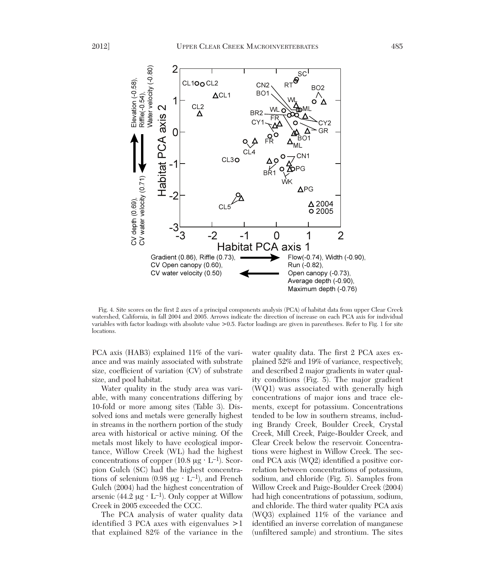

Fig. 4. Site scores on the first 2 axes of a principal components analysis (PCA) of habitat data from upper Clear Creek watershed, California, in fall 2004 and 2005. Arrows indicate the direction of increase on each PCA axis for individual variables with factor loadings with absolute value >0.5. Factor loadings are given in parentheses. Refer to Fig. 1 for site locations.

PCA axis (HAB3) explained 11% of the variance and was mainly associated with substrate size, coefficient of variation (CV) of substrate size, and pool habitat.

Water quality in the study area was variable, with many concentrations differing by 10-fold or more among sites (Table 3). Dissolved ions and metals were generally highest in streams in the northern portion of the study area with historical or active mining. Of the metals most likely to have ecological importance, Willow Creek (WL) had the highest concentrations of copper  $(10.8 \text{ µg} \cdot \text{L}^{-1})$ . Scorpion Gulch (SC) had the highest concentrations of selenium  $(0.98 \mu g \cdot L^{-1})$ , and French Gulch (2004) had the highest concentration of arsenic (44.2  $\mu$ g · L<sup>-1</sup>). Only copper at Willow Creek in 2005 exceeded the CCC.

The PCA analysis of water quality data identified 3 PCA axes with eigenvalues >1 that explained 82% of the variance in the

water quality data. The first 2 PCA axes explained 52% and 19% of variance, respectively, and described 2 major gradients in water quality conditions (Fig. 5). The major gradient (WQ1) was associated with generally high concentrations of major ions and trace elements, except for potassium. Concentrations tended to be low in southern streams, including Brandy Creek, Boulder Creek, Crystal Creek, Mill Creek, Paige-Boulder Creek, and Clear Creek below the reservoir. Concentrations were highest in Willow Creek. The second PCA axis (WQ2) identified a positive correlation between concentrations of potassium, sodium, and chloride (Fig. 5). Samples from Willow Creek and Paige-Boulder Creek (2004) had high concentrations of potassium, sodium, and chloride. The third water quality PCA axis (WQ3) explained 11% of the variance and identified an inverse correlation of manganese (unfiltered sample) and strontium. The sites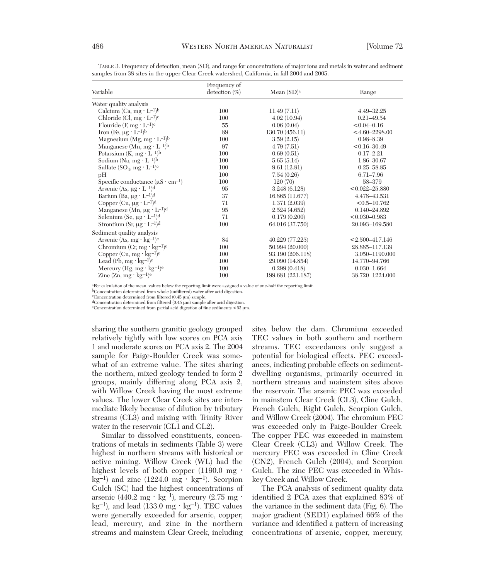|                                                          | Frequency of     |                   |                     |
|----------------------------------------------------------|------------------|-------------------|---------------------|
| Variable                                                 | detection $(\%)$ | Mean $(SD)a$      | Range               |
| Water quality analysis                                   |                  |                   |                     |
| Calcium (Ca, mg $\cdot$ L <sup>-1</sup> ) <sup>b</sup>   | 100              | 11.49(7.11)       | 4.49-32.25          |
| Chloride (Cl, $mg \cdot L^{-1}$ ) <sup>c</sup>           | 100              | 4.02(10.94)       | $0.21 - 49.54$      |
| Flouride $(F, mg \cdot L^{-1})^c$                        | 55               | 0.06(0.04)        | $< 0.04 - 0.16$     |
| Iron (Fe, $\mu$ g · L <sup>-1</sup> ) <sup>b</sup>       | 89               | 130.70 (456.11)   | $<$ 4.60-2298.00    |
| Magnesium (Mg, mg $\cdot$ L <sup>-1</sup> ) <sup>b</sup> | 100              | 3.59(2.15)        | $0.98 - 8.39$       |
| Manganese (Mn, mg $\cdot$ L <sup>-1</sup> ) <sup>b</sup> | 97               | 4.79(7.51)        | $< 0.16 - 30.49$    |
| Potassium $(K, mg \cdot L^{-1})^b$                       | 100              | 0.69(0.51)        | $0.17 - 2.21$       |
| Sodium (Na, mg $\cdot$ L <sup>-1</sup> ) <sup>b</sup>    | 100              | 5.65(5.14)        | 1.86-30.67          |
| Sulfate $(SO_4, mg \cdot L^{-1})^c$                      | 100              | 9.61(12.81)       | $0.25 - 58.85$      |
| pH                                                       | 100              | 7.54(0.26)        | $6.71 - 7.96$       |
| Specific conductance $(\mu S \cdot cm^{-1})$             | 100              | 120(70)           | 58-379              |
| Arsenic (As, $\mu$ g · L <sup>-1</sup> ) <sup>d</sup>    | 95               | 3.248(6.128)      | $< 0.022 - 25.880$  |
| Barium (Ba, $\mu$ g · L <sup>-1</sup> ) <sup>d</sup>     | 37               | 16.865 (11.677)   | 4.478-43.531        |
| Copper (Cu, $\mu$ g · L <sup>-1</sup> ) <sup>d</sup>     | 71               | 1.371(2.039)      | $< 0.5 - 10.762$    |
| Manganese (Mn, $\mu$ g · L <sup>-1</sup> ) <sup>d</sup>  | 95               | 2.524(4.652)      | 0.140-24.892        |
| Selenium (Se, $\mu$ g · L <sup>-1</sup> ) <sup>d</sup>   | 71               | 0.179(0.200)      | $< 0.030 - 0.983$   |
| Strontium (Sr, $\mu$ g · L <sup>-1</sup> ) <sup>d</sup>  | 100              | 64.016 (37.750)   | 20.093-169.580      |
| Sediment quality analysis                                |                  |                   |                     |
| Arsenic (As, $mg \cdot kg^{-1}$ )e                       | 84               | 40.229 (77.225)   | $< 2.500 - 417.146$ |
| Chromium (Cr, mg $\cdot$ kg <sup>-1</sup> ) <sup>e</sup> | 100              | 50.994 (20.000)   | 28.885-117.139      |
| Copper $(Cu, mg \cdot kg^{-1})^e$                        | 100              | 93.190 (206.118)  | 3.050-1190.000      |
| Lead (Pb, $mg \cdot kg^{-1}$ ) <sup>e</sup>              | 100              | 29.090 (14.854)   | 14.770-94.766       |
| Mercury (Hg, mg $\cdot$ kg <sup>-1</sup> ) <sup>e</sup>  | 100              | 0.299(0.418)      | $0.030 - 1.664$     |
| Zinc $(Zn, mg \cdot kg^{-1})^e$                          | 100              | 199.681 (221.187) | 38.720-1224.000     |

TABLE 3. Frequency of detection, mean (SD), and range for concentrations of major ions and metals in water and sediment samples from 38 sites in the upper Clear Creek watershed, California, in fall 2004 and 2005.

aFor calculation of the mean, values below the reporting limit were assigned a value of one-half the reporting limit.

bConcentration determined from whole (unfiltered) water after acid digestion. cConcentration determined from filtered (0.45 μm) sample.

 $\rm dConcentration$  determined from filtered (0.45  $\rm \mu m)$  sample after acid digestion.

eConcentration determined from partial acid digestion of fine sediments <63 μm.

sharing the southern granitic geology grouped relatively tightly with low scores on PCA axis 1 and moderate scores on PCA axis 2. The 2004 sample for Paige-Boulder Creek was somewhat of an extreme value. The sites sharing the northern, mixed geology tended to form 2 groups, mainly differing along PCA axis 2, with Willow Creek having the most extreme values. The lower Clear Creek sites are intermediate likely because of dilution by tributary streams (CL3) and mixing with Trinity River water in the reservoir (CL1 and CL2).

Similar to dissolved constituents, concentrations of metals in sediments (Table 3) were highest in northern streams with historical or active mining. Willow Creek (WL) had the highest levels of both copper  $(1190.0 \text{ mg} \cdot$  $kg^{-1}$ ) and zinc (1224.0 mg · kg<sup>-1</sup>). Scorpion Gulch (SC) had the highest concentrations of arsenic  $(440.2 \text{ mg} \cdot \text{kg}^{-1})$ , mercury  $(2.75 \text{ mg} \cdot \text{m})$ kg<sup>-1</sup>), and lead (133.0 mg · kg<sup>-1</sup>). TEC values were generally exceeded for arsenic, copper, lead, mercury, and zinc in the northern streams and mainstem Clear Creek, including sites below the dam. Chromium exceeded TEC values in both southern and northern streams. TEC exceedances only suggest a potential for biological effects. PEC exceed ances, indicating probable effects on sedimentdwelling organisms, primarily occurred in northern streams and mainstem sites above the reservoir. The arsenic PEC was exceeded in mainstem Clear Creek (CL3), Cline Gulch, French Gulch, Right Gulch, Scorpion Gulch, and Willow Creek (2004). The chromium PEC was exceeded only in Paige-Boulder Creek. The copper PEC was exceeded in mainstem Clear Creek (CL3) and Willow Creek. The mercury PEC was exceeded in Cline Creek (CN2), French Gulch (2004), and Scorpion Gulch. The zinc PEC was exceeded in Whiskey Creek and Willow Creek.

The PCA analysis of sediment quality data identified 2 PCA axes that explained 83% of the variance in the sediment data (Fig. 6). The major gradient (SED1) explained 66% of the variance and identified a pattern of increasing concentrations of arsenic, copper, mercury,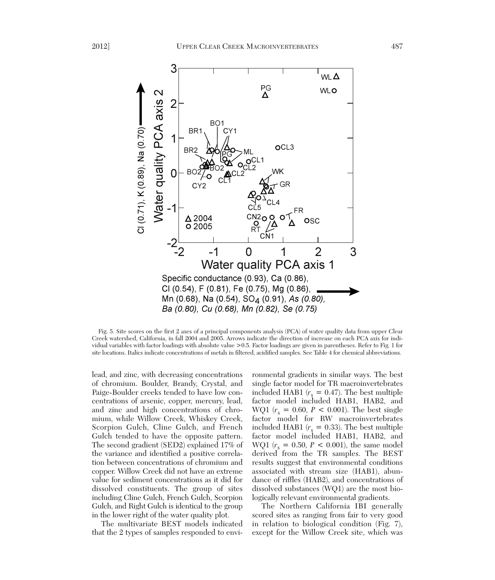

Fig. 5. Site scores on the first 2 axes of a principal components analysis (PCA) of water quality data from upper Clear Creek watershed, California, in fall 2004 and 2005. Arrows indicate the direction of increase on each PCA axis for individual variables with factor loadings with absolute value >0.5. Factor loadings are given in parentheses. Refer to Fig. 1 for site locations. Italics indicate concentrations of metals in filtered, acidified samples. See Table 4 for chemical abbreviations.

lead, and zinc, with decreasing concentrations of chromium. Boulder, Brandy, Crystal, and Paige-Boulder creeks tended to have low concentrations of arsenic, copper, mercury, lead, and zinc and high concentrations of chromium, while Willow Creek, Whiskey Creek, Scorpion Gulch, Cline Gulch, and French Gulch tended to have the opposite pattern. The second gradient (SED2) explained 17% of the variance and identified a positive correlation between concentrations of chromium and copper. Willow Creek did not have an extreme value for sediment concentrations as it did for dissolved constituents. The group of sites including Cline Gulch, French Gulch, Scorpion Gulch, and Right Gulch is identical to the group in the lower right of the water quality plot.

The multivariate BEST models indicated that the 2 types of samples responded to envi-

ronmental gradients in similar ways. The best single factor model for TR macroinvertebrates included HAB1  $(r_s = 0.47)$ . The best multiple factor model included HAB1, HAB2, and WQ1  $(r_s = 0.60, P < 0.001)$ . The best single factor model for RW macroinvertebrates included HAB1  $(r_s = 0.33)$ . The best multiple factor model included HAB1, HAB2, and WQ1  $(r_s = 0.50, P < 0.001)$ , the same model derived from the TR samples. The BEST results suggest that environmental conditions associated with stream size (HAB1), abundance of riffles (HAB2), and concentrations of dissolved substances (WQ1) are the most biologically relevant environmental gradients.

The Northern California IBI generally scored sites as ranging from fair to very good in relation to biological condition (Fig. 7), except for the Willow Creek site, which was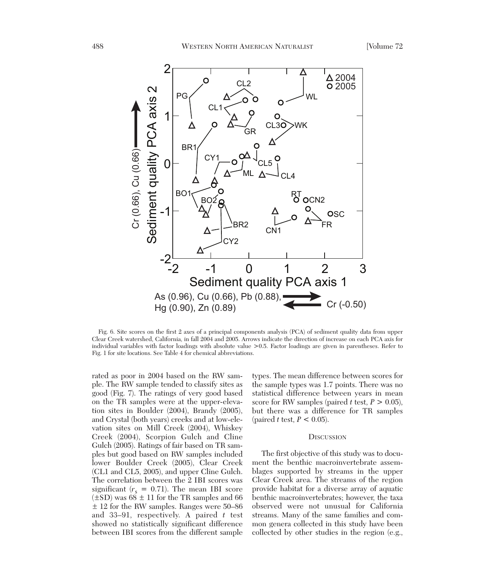

Fig. 6. Site scores on the first 2 axes of a principal components analysis (PCA) of sediment quality data from upper Clear Creek watershed, California, in fall 2004 and 2005. Arrows indicate the direction of increase on each PCA axis for individual variables with factor loadings with absolute value >0.5. Factor loadings are given in parentheses. Refer to Fig. 1 for site locations. See Table 4 for chemical abbreviations.

rated as poor in 2004 based on the RW sample. The RW sample tended to classify sites as good (Fig. 7). The ratings of very good based on the TR samples were at the upper-elevation sites in Boulder (2004), Brandy (2005), and Crystal (both years) creeks and at low-elevation sites on Mill Creek (2004), Whiskey Creek (2004), Scorpion Gulch and Cline Gulch (2005). Ratings of fair based on TR samples but good based on RW samples included lower Boulder Creek (2005), Clear Creek (CL1 and CL5, 2005), and upper Cline Gulch. The correlation between the 2 IBI scores was significant  $(r_s = 0.71)$ . The mean IBI score  $(\pm SD)$  was  $68 \pm 11$  for the TR samples and 66  $\pm$  12 for the RW samples. Ranges were 50–86 and 33–91, respectively. A paired *t* test showed no statistically significant difference between IBI scores from the different sample

types. The mean difference between scores for the sample types was 1.7 points. There was no statistical difference between years in mean score for RW samples (paired *t* test,  $P > 0.05$ ), but there was a difference for TR samples (paired *t* test,  $P < 0.05$ ).

#### **DISCUSSION**

The first objective of this study was to document the benthic macroinvertebrate assemblages supported by streams in the upper Clear Creek area. The streams of the region provide habitat for a diverse array of aquatic benthic macroinvertebrates; however, the taxa observed were not unusual for California streams. Many of the same families and common genera collected in this study have been collected by other studies in the region (e.g.,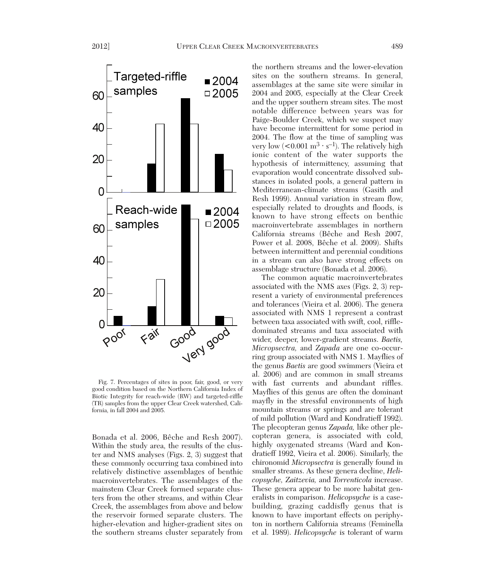

Fig. 7. Percentages of sites in poor, fair, good, or very good condition based on the Northern California Index of Biotic Integrity for reach-wide (RW) and targeted-riffle (TR) samples from the upper Clear Creek watershed, California, in fall 2004 and 2005.

Bonada et al. 2006, Bêche and Resh 2007). Within the study area, the results of the cluster and NMS analyses (Figs. 2, 3) suggest that these commonly occurring taxa combined into relatively distinctive assemblages of benthic macroinvertebrates. The assemblages of the mainstem Clear Creek formed separate clusters from the other streams, and within Clear Creek, the assemblages from above and below the reservoir formed separate clusters. The higher-elevation and higher-gradient sites on the southern streams cluster separately from

the northern streams and the lower-elevation sites on the southern streams. In general, assemblages at the same site were similar in 2004 and 2005, especially at the Clear Creek and the upper southern stream sites. The most notable difference between years was for Paige-Boulder Creek, which we suspect may have become intermittent for some period in 2004. The flow at the time of sampling was very low  $(<0.001 \text{ m}^3 \cdot \text{s}^{-1})$ . The relatively high ionic content of the water supports the hypothesis of intermittency, assuming that evaporation would concentrate dissolved substances in isolated pools, a general pattern in Mediterranean-climate streams (Gasith and Resh 1999). Annual variation in stream flow, especially related to droughts and floods, is known to have strong effects on benthic macroinvertebrate assemblages in northern California streams (Bêche and Resh 2007, Power et al. 2008, Bêche et al. 2009). Shifts between intermittent and perennial conditions in a stream can also have strong effects on assemblage structure (Bonada et al. 2006).

The common aquatic macroinvertebrates associated with the NMS axes (Figs. 2, 3) represent a variety of environmental preferences and tolerances (Vieira et al. 2006). The genera associated with NMS 1 represent a contrast between taxa associated with swift, cool, riffledominated streams and taxa associated with wider, deeper, lower-gradient streams. *Baetis, Micropsectra,* and *Zapada* are one co-occurring group associated with NMS 1. Mayflies of the genus *Baetis* are good swimmers (Vieira et al. 2006) and are common in small streams with fast currents and abundant riffles. Mayflies of this genus are often the dominant mayfly in the stressful environments of high mountain streams or springs and are tolerant of mild pollution (Ward and Kondratieff 1992). The plecopteran genus *Zapada,* like other plecopteran genera, is associated with cold, highly oxygenated streams (Ward and Kondratieff 1992, Vieira et al. 2006). Similarly, the chironomid *Micropsectra* is generally found in smaller streams. As these genera decline, *Helicopsyche, Zaitzevia,* and *Torrenticola* increase. These genera appear to be more habitat generalists in comparison. *Helicopsyche* is a casebuilding, grazing caddisfly genus that is known to have important effects on periphyton in northern California streams (Feminella et al. 1989). *Helicopsyche* is tolerant of warm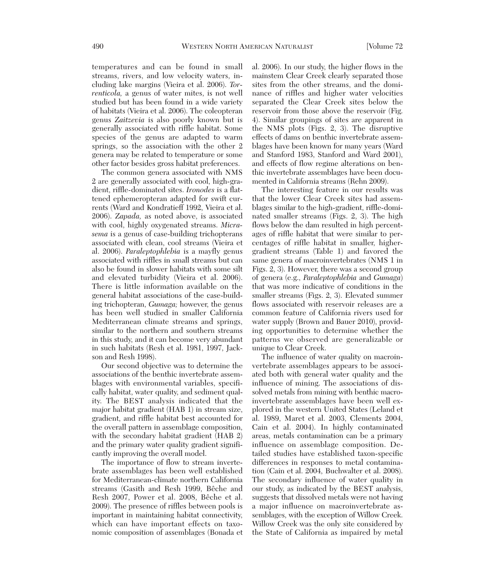temperatures and can be found in small streams, rivers, and low velocity waters, in cluding lake margins (Vieira et al. 2006). *Torrenticola,* a genus of water mites, is not well studied but has been found in a wide variety of habitats (Vieira et al. 2006). The coleopteran genus *Zaitzevia* is also poorly known but is generally associated with riffle habitat. Some species of the genus are adapted to warm springs, so the association with the other 2 genera may be related to temperature or some other factor besides gross habitat preferences.

The common genera associated with NMS 2 are generally associated with cool, high-gradient, riffle-dominated sites. *Ironodes* is a flattened ephemeropteran adapted for swift currents (Ward and Kondratieff 1992, Vieira et al. 2006). *Zapada,* as noted above, is associated with cool, highly oxygenated streams. *Micra sema* is a genus of case-building trichopterans associated with clean, cool streams (Vieira et al. 2006). *Paraleptophlebia* is a mayfly genus associated with riffles in small streams but can also be found in slower habitats with some silt and elevated turbidity (Vieira et al. 2006). There is little information available on the general habitat associations of the case-building trichopteran, *Gumaga;* however, the genus has been well studied in smaller California Mediterranean climate streams and springs, similar to the northern and southern streams in this study, and it can become very abundant in such habitats (Resh et al. 1981, 1997, Jackson and Resh 1998).

Our second objective was to determine the associations of the benthic invertebrate assemblages with environmental variables, specifically habitat, water quality, and sediment quality. The BEST analysis indicated that the major habitat gradient (HAB 1) in stream size, gradient, and riffle habitat best accounted for the overall pattern in assemblage composition, with the secondary habitat gradient (HAB 2) and the primary water quality gradient significantly improving the overall model.

The importance of flow to stream invertebrate assemblages has been well established for Mediterranean-climate northern California streams (Gasith and Resh 1999, Bêche and Resh 2007, Power et al. 2008, Bêche et al. 2009). The presence of riffles between pools is important in maintaining habitat connectivity, which can have important effects on taxonomic composition of assemblages (Bonada et

al. 2006). In our study, the higher flows in the mainstem Clear Creek clearly separated those sites from the other streams, and the dominance of riffles and higher water velocities separated the Clear Creek sites below the reservoir from those above the reservoir (Fig. 4). Similar groupings of sites are apparent in the NMS plots (Figs. 2, 3). The disruptive effects of dams on benthic invertebrate assemblages have been known for many years (Ward and Stanford 1983, Stanford and Ward 2001), and effects of flow regime alterations on benthic invertebrate assemblages have been documented in California streams (Rehn 2009).

The interesting feature in our results was that the lower Clear Creek sites had assemblages similar to the high-gradient, riffle-domi nated smaller streams (Figs. 2, 3). The high flows below the dam resulted in high percentages of riffle habitat that were similar to percentages of riffle habitat in smaller, highergradient streams (Table 1) and favored the same genera of macroinvertebrates (NMS 1 in Figs. 2, 3). However, there was a second group of genera (e.g., *Paraleptophlebia* and *Gumaga*) that was more indicative of conditions in the smaller streams (Figs. 2, 3). Elevated summer flows associated with reservoir releases are a common feature of California rivers used for water supply (Brown and Bauer 2010), providing opportunities to determine whether the patterns we observed are generalizable or unique to Clear Creek.

The influence of water quality on macroinvertebrate assemblages appears to be associated both with general water quality and the influence of mining. The associations of dissolved metals from mining with benthic macroinvertebrate assemblages have been well explored in the western United States (Leland et al. 1989, Maret et al. 2003, Clements 2004, Cain et al. 2004). In highly contaminated areas, metals contamination can be a primary influence on assemblage composition. Detailed studies have established taxon-specific differences in responses to metal contamination (Cain et al. 2004, Buchwalter et al. 2008). The secondary influence of water quality in our study, as indicated by the BEST analysis, suggests that dissolved metals were not having a major influence on macroinvertebrate assemblages, with the exception of Willow Creek. Willow Creek was the only site considered by the State of California as impaired by metal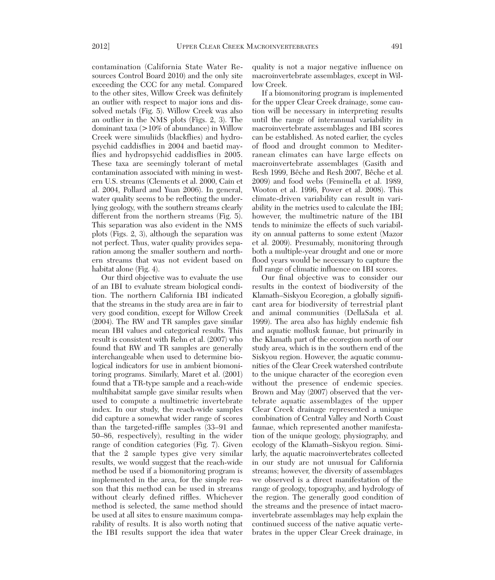contamination (California State Water Re sources Control Board 2010) and the only site exceeding the CCC for any metal. Compared to the other sites, Willow Creek was definitely an outlier with respect to major ions and dissolved metals (Fig. 5). Willow Creek was also an outlier in the NMS plots (Figs. 2, 3). The dominant taxa (>10% of abundance) in Willow Creek were simuliids (blackflies) and hydropsychid caddisflies in 2004 and baetid may flies and hydropsychid caddisflies in 2005. These taxa are seemingly tolerant of metal contamination associated with mining in western U.S. streams (Clements et al. 2000, Cain et al. 2004, Pollard and Yuan 2006). In general, water quality seems to be reflecting the underlying geology, with the southern streams clearly different from the northern streams (Fig. 5). This separation was also evident in the NMS plots (Figs. 2, 3), although the separation was not perfect. Thus, water quality provides separation among the smaller southern and northern streams that was not evident based on habitat alone (Fig. 4).

Our third objective was to evaluate the use of an IBI to evaluate stream biological condition. The northern California IBI indicated that the streams in the study area are in fair to very good condition, except for Willow Creek (2004). The RW and TR samples gave similar mean IBI values and categorical results. This result is consistent with Rehn et al. (2007) who found that RW and TR samples are generally interchangeable when used to determine biological indicators for use in ambient biomonitoring programs. Similarly, Maret et al. (2001) found that a TR-type sample and a reach-wide multihabitat sample gave similar results when used to compute a multimetric invertebrate index. In our study, the reach-wide samples did capture a somewhat wider range of scores than the targeted-riffle samples (33–91 and 50–86, respectively), resulting in the wider range of condition categories (Fig. 7). Given that the 2 sample types give very similar results, we would suggest that the reach-wide method be used if a biomonitoring program is implemented in the area, for the simple reason that this method can be used in streams without clearly defined riffles. Whichever method is selected, the same method should be used at all sites to ensure maximum comparability of results. It is also worth noting that the IBI results support the idea that water

quality is not a major negative influence on macroinvertebrate assemblages, except in Willow Creek.

If a biomonitoring program is implemented for the upper Clear Creek drainage, some caution will be necessary in interpreting results until the range of interannual variability in macroinvertebrate assemblages and IBI scores can be established. As noted earlier, the cycles of flood and drought common to Mediterranean climates can have large effects on macroinvertebrate assemblages (Gasith and Resh 1999, Bêche and Resh 2007, Bêche et al. 2009) and food webs (Feminella et al. 1989, Wooton et al. 1996, Power et al. 2008). This climate-driven variability can result in variability in the metrics used to calculate the IBI; however, the multimetric nature of the IBI tends to minimize the effects of such variability on annual patterns to some extent (Mazor et al. 2009). Presumably, monitoring through both a multiple-year drought and one or more flood years would be necessary to capture the full range of climatic influence on IBI scores.

Our final objective was to consider our results in the context of biodiversity of the Klamath–Siskyou Ecoregion, a globally significant area for biodiversity of terrestrial plant and animal communities (DellaSala et al. 1999). The area also has highly endemic fish and aquatic mollusk faunae, but primarily in the Klamath part of the ecoregion north of our study area, which is in the southern end of the Siskyou region. However, the aquatic communities of the Clear Creek watershed contribute to the unique character of the ecoregion even without the presence of endemic species. Brown and May (2007) observed that the vertebrate aquatic assemblages of the upper Clear Creek drainage represented a unique combination of Central Valley and North Coast faunae, which represented another manifestation of the unique geology, physiography, and ecology of the Klamath–Siskyou region. Similarly, the aquatic macroinvertebrates collected in our study are not unusual for California streams; however, the diversity of assemblages we observed is a direct manifestation of the range of geology, topography, and hydrology of the region. The generally good condition of the streams and the presence of intact macroinvertebrate assemblages may help explain the continued success of the native aquatic vertebrates in the upper Clear Creek drainage, in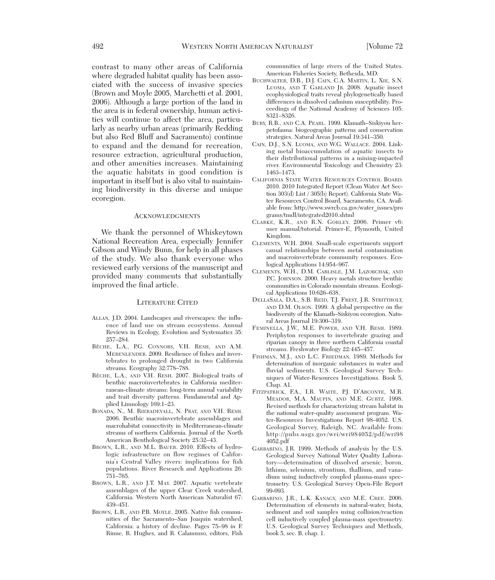contrast to many other areas of California where degraded habitat quality has been associated with the success of invasive species (Brown and Moyle 2005, Marchetti et al. 2001, 2006). Although a large portion of the land in the area is in federal ownership, human activities will continue to affect the area, particularly as nearby urban areas (primarily Redding but also Red Bluff and Sacramento) continue to expand and the demand for recreation, resource extraction, agricultural production, and other amenities increases. Maintaining the aquatic habitats in good condition is important in itself but is also vital to maintaining biodiversity in this diverse and unique ecoregion.

#### **ACKNOWLEDGMENTS**

We thank the personnel of Whiskeytown National Recreation Area, especially Jennifer Gibson and Windy Bunn, for help in all phases of the study. We also thank everyone who reviewed early versions of the manuscript and provided many comments that substantially improved the final article.

### LITERATURE CITED

- ALLAN, J.D. 2004. Landscapes and riverscapes: the influence of land use on stream ecosystems. Annual Reviews in Ecology, Evolution and Systematics 35: 257–284.
- BÊCHE, L.A., P.G. CONNORS, V.H. RESH, AND A.M. MERENLENDER. 2009. Resilience of fishes and invertebrates to prolonged drought in two California streams. Ecography 32:778–788.
- BÊCHE, L.A., AND V.H. RESH. 2007. Biological traits of benthic macroinvertebrates in California mediterranean-climate streams: long-term annual variability and trait diversity patterns. Fundamental and Applied Limnology 169:1–23.
- BONADA, N., M. RIERADEVALL, N. PRAT, AND V.H. RESH. 2006. Benthic macroinvertebrate assemblages and macrohabitat connectivity in Mediterranean-climate streams of northern California. Journal of the North American Benthological Society 25:32–43.
- BROWN, L.R., AND M.L. BAUER. 2010. Effects of hydrologic infrastructure on flow regimes of California's Central Valley rivers: implications for fish populations. River Research and Applications 26: 751–765.
- BROWN, L.R., AND J.T. MAY. 2007. Aquatic vertebrate assemblages of the upper Clear Creek watershed, California. Western North American Naturalist 67: 439–451.
- BROWN, L.R., AND P.B. MOYLE. 2005. Native fish communities of the Sacramento–San Joaquin watershed, California: a history of decline. Pages 75–98 *in* F. Rinne, R. Hughes, and R. Calamusso, editors, Fish

communities of large rivers of the United States. American Fisheries Society, Bethesda, MD.

- BUCHWALTER, D.B., D.J. CAIN, C.A. MARTIN, L. XIE, S.N. LUOMA, AND T. GARLAND JR. 2008. Aquatic insect ecophysiological traits reveal phylogenetically based differences in dissolved cadmium susceptibility. Proceedings of the National Academy of Sciences 105: 8321–8326.
- BURY, R.B., AND C.A. PEARL. 1999. Klamath–Siskiyou herpetofauna: biogeographic patterns and conservation strategies. Natural Areas Journal 19:341–350.
- CAIN, D.J., S.N. LUOMA, AND W.G. WALLACE. 2004. Linking metal bioaccumulation of aquatic insects to their distributional patterns in a mining-impacted river. Environmental Toxicology and Chemistry 23: 1463–1473.
- CALIFORNIA STATE WATER RESOURCES CONTROL BOARD. 2010. 2010 Integrated Report (Clean Water Act Section 303(d) List / 305(b) Report). California State Water Resources Control Board, Sacramento, CA. Available from: http://www.swrcb.ca.gov/water\_issues/pro grams/tmdl/integrated2010.shtml
- CLARKE, K.R., AND R.N. GORLEY. 2006. Primer v6: user manual/tutorial. Primer-E, Plymouth, United Kingdom.
- CLEMENTS, W.H. 2004. Small-scale experiments support causal relationships between metal contamination and macroinvertebrate community responses. Ecological Applications 14:954–967.
- CLEMENTS, W.H., D.M. CARLISLE, J.M. LAZORCHAK, AND P.C. JOHNSON. 2000. Heavy metals structure benthic communities in Colorado mountain streams. Ecological Applications 10:626–638.
- DELLASALA, D.A., S.B. REID, T.J. FREST, J.R. STRITTHOLT, AND D.M. OLSON. 1999. A global perspective on the biodiversity of the Klamath–Siskiyou ecoregion. Natural Areas Journal 19:300–319.
- FEMINELLA, J.W., M.E. POWER, AND V.H. RESH. 1989. Periphyton responses to invertebrate grazing and riparian canopy in three northern California coastal streams. Freshwater Biology 22:445–457.
- FISHMAN, M.J., AND L.C. FRIEDMAN. 1989. Methods for determination of inorganic substances in water and fluvial sediments. U.S. Geological Survey Techniques of Water-Resources Investigations. Book 5, Chap. A1.
- FITZPATRICK, F.A., I.R. WAITE, P.J. D'ARCONTE, M.R. MEADOR, M.A. MAUPIN, AND M.E. GURTZ. 1998. Revised methods for characterizing stream habitat in the national water-quality assessment program. Water-Resources Investigations Report 98-4052. U.S. Geological Survey, Raleigh, NC. Available from: http://pubs.usgs.gov/wri/wri984052/pdf/wri98  $4052 \text{ndf}$
- GARBARINO, J.R. 1999. Methods of analysis by the U.S. Geological Survey National Water Quality Laboratory—determination of dissolved arsenic, boron, lithium, selenium, strontium, thallium, and vanadium using inductively coupled plasma-mass spectrometry. U.S. Geological Survey Open-File Report 99-093.
- GARBARINO, J.R., L.K. KANAGY, AND M.E. CREE. 2006. Determination of elements in natural-water, biota, sediment and soil samples using collision/reaction cell inductively coupled plasma-mass spectrometry. U.S. Geological Survey Techniques and Methods, book 5, sec. B, chap. 1.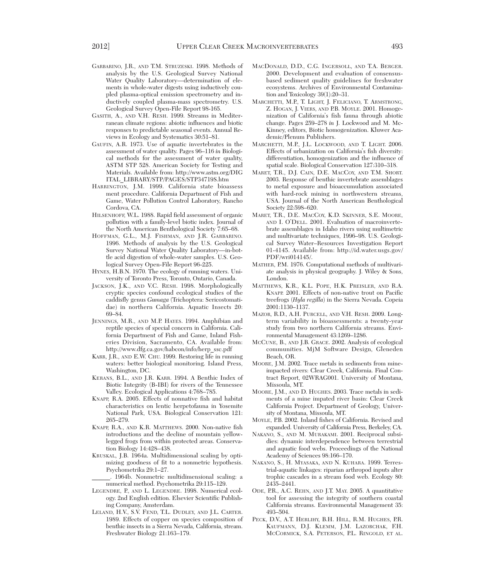- GARBARINO, J.R., AND T.M. STRUZESKI. 1998. Methods of analysis by the U.S. Geological Survey National Water Quality Laboratory—determination of elements in whole-water digests using inductively coupled plasma-optical emission spectrometry and inductively coupled plasma-mass spectrometry. U.S. Geological Survey Open-File Report 98-165.
- GASITH, A., AND V.H. RESH. 1999. Streams in Mediterranean climate regions: abiotic influences and biotic responses to predictable seasonal events. Annual Re views in Ecology and Systematics 30:51–81.
- GAUFIN, A.R. 1973. Use of aquatic invertebrates in the assessment of water quality. Pages 96–116 *in* Biological methods for the assessment of water quality, ASTM STP 528. American Society for Testing and Materials. Available from: http://www.astm.org/DIG ITAL\_LIBRARY/STP/PAGES/STP34719S.htm
- HARRINGTON, J.M. 1999. California state bioassess ment procedure. California Department of Fish and Game, Water Pollution Control Laboratory, Rancho Cordova, CA.
- HILSENHOFF, W.L. 1988. Rapid field assessment of organic pollution with a family-level biotic index. Journal of the North American Benthological Society 7:65–68.
- HOFFMAN, G.L., M.J. FISHMAN, AND J.R. GARBARINO. 1996. Methods of analysis by the U.S. Geological Survey National Water Quality Laboratory—in-bottle acid digestion of whole-water samples. U.S. Geological Survey Open-File Report 96-225.
- HYNES, H.B.N. 1970. The ecology of running waters. University of Toronto Press, Toronto, Ontario, Canada.
- JACKSON, J.K., AND V.C. RESH. 1998. Morphologically cryptic species confound ecological studies of the caddisfly genus *Gumaga* (Trichoptera: Sericostomatidae) in northern California. Aquatic Insects 20: 69–84.
- JENNINGS, M.R., AND M.P. HAYES. 1994. Amphibian and reptile species of special concern in California. California Department of Fish and Game, Inland Fisheries Division, Sacramento, CA. Available from: http://www.dfg.ca.gov/habcon/info/herp\_ssc.pdf
- KARR, J.R., AND E.W. CHU. 1999. Restoring life in running waters: better biological monitoring. Island Press, Washington, DC.
- KERANS, B.L., AND J.R. KARR. 1994. A Benthic Index of Biotic Integrity (B-IBI) for rivers of the Tennessee Valley. Ecological Applications 4:768–785.
- KNAPP, R.A. 2005. Effects of nonnative fish and habitat characteristics on lentic herpetofauna in Yosemite National Park, USA. Biological Conservation 121: 265–279.
- KNAPP, R.A., AND K.R. MATTHEWS. 2000. Non-native fish introductions and the decline of mountain yellowlegged frogs from within protected areas. Conservation Biology 14:428–438.
- KRUSKAL, J.B. 1964a. Multidimensional scaling by optimizing goodness of fit to a nonmetric hypothesis. Psychometrika 29:1–27.

\_\_\_\_\_\_. 1964b. Nonmetric multidimensional scaling: a numerical method. Psychometrika 29:115–129.

- LEGENDRE, P., AND L. LEGENDRE. 1998. Numerical ecology. 2nd English edition. Elsevier Scientific Publishing Company, Amsterdam.
- LELAND, H.V., S.V. FEND, T.L. DUDLEY, AND J.L. CARTER. 1989. Effects of copper on species composition of benthic insects in a Sierra Nevada, California, stream. Freshwater Biology 21:163–179.
- MACDONALD, D.D., C.G. INGERSOLL, AND T.A. BERGER. 2000. Development and evaluation of consensusbased sediment quality guidelines for freshwater ecosystems. Archives of Environmental Contamination and Toxicology 39(1):20–31.
- MARCHETTI, M.P., T. LIGHT, J. FELICIANO, T. ARMSTRONG, Z. HOGAN, J. VIERS, AND P.B. MOYLE. 2001. Homogenization of California's fish fauna through abiotic change. Pages 259–278 *in* J. Lockwood and M. Mc - Kinney, editors, Biotic homogenization. Kluwer Academic/Plenum Publishers.
- MARCHETTI, M.P., J.L. LOCKWOOD, AND T. LIGHT. 2006. Effects of urbanization on California's fish diversity: differentiation, homogenization and the influence of spatial scale. Biological Conservation 127:310–318.
- MARET, T.R., D.J. CAIN, D.E. MACCOY, AND T.M. SHORT. 2003. Response of benthic invertebrate assemblages to metal exposure and bioaccumulation associated with hard-rock mining in northwestern streams, USA. Journal of the North American Benthological Society 22:598–620.
- MARET, T.R., D.E. MACCOY, K.D. SKINNER, S.E. MOORE, AND I. O'DELL. 2001. Evaluation of macroinvertebrate assemblages in Idaho rivers using multimetric and multivariate techniques, 1996–98. U.S. Geological Survey Water–Resources Investigation Report 01-4145. Available from: http://id.water.usgs.gov/ PDF/wri014145/.
- MATHER, P.M. 1976. Computational methods of multivariate analysis in physical geography. J. Wiley & Sons, London.
- MATTHEWS, K.R., K.L. POPE, H.K. PREISLER, AND R.A. KNAPP. 2001. Effects of non-native trout on Pacific treefrogs (*Hyla regilla*) in the Sierra Nevada. Copeia 2001:1130–1137.
- MAZOR, R.D., A.H. PURCELL, AND V.H. RESH. 2009. Longterm variability in bioassessments: a twenty-year study from two northern California streams. Environmental Management 43:1269–1286.
- MCCUNE, B., AND J.B. GRACE. 2002. Analysis of ecological communities. MjM Software Design, Gleneden Beach, OR.
- MOORE, J.M. 2002. Trace metals in sediments from mineimpacted rivers: Clear Creek, California. Final Contract Report, 02WRAG001. University of Montana, Missoula, MT.
- MOORE, J.M., AND D. HUGHES. 2003. Trace metals in sediments of a mine impated river basin: Clear Creek California Project. Department of Geology, University of Montana, Missoula, MT.
- MOYLE, P.B. 2002. Inland fishes of California. Revised and expanded. University of California Press, Berkeley, CA.
- NAKANO, S., AND M. MURAKAMI. 2001. Reciprocal subsidies: dynamic interdependence between terrestrial and aquatic food webs. Proceedings of the National Academy of Sciences 98:166–170.
- NAKANO, S., H. MYASAKA, AND N. KUHARA. 1999. Terrestrial-aquatic linkages: riparian arthropod inputs alter trophic cascades in a stream food web. Ecology 80:  $24\overline{3}5 - 2441$ .
- ODE, P.R., A.C. REHN, AND J.T. MAY. 2005. A quantitative tool for assessing the integrity of southern coastal California streams. Environmental Management 35: 493–504.
- PECK, D.V., A.T. HERLIHY, B.H. HILL, R.M. HUGHES, P.R. KAUFMANN, D.J. KLEMM, J.M. LAZORCHAK, F.H. MCCORMICK, S.A. PETERSON, P.L. RINGOLD, ET AL.